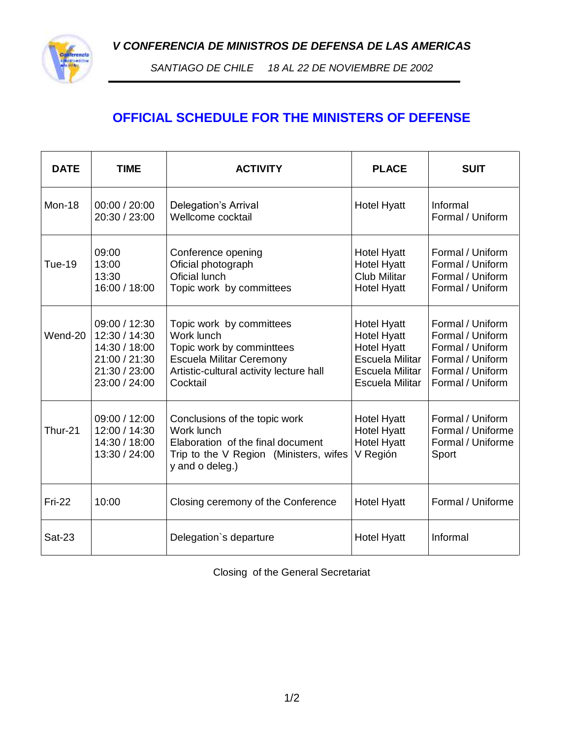*V CONFERENCIA DE MINISTROS DE DEFENSA DE LAS AMERICAS*



*SANTIAGO DE CHILE 18 AL 22 DE NOVIEMBRE DE 2002*

## **OFFICIAL SCHEDULE FOR THE MINISTERS OF DEFENSE**

| <b>DATE</b>   | <b>TIME</b>                                                                                        | <b>ACTIVITY</b>                                                                                                                                               | <b>PLACE</b>                                                                                                            | <b>SUIT</b>                                                                                                          |
|---------------|----------------------------------------------------------------------------------------------------|---------------------------------------------------------------------------------------------------------------------------------------------------------------|-------------------------------------------------------------------------------------------------------------------------|----------------------------------------------------------------------------------------------------------------------|
| Mon-18        | 00:00 / 20:00<br>20:30 / 23:00                                                                     | Delegation's Arrival<br>Wellcome cocktail                                                                                                                     | <b>Hotel Hyatt</b>                                                                                                      | Informal<br>Formal / Uniform                                                                                         |
| <b>Tue-19</b> | 09:00<br>13:00<br>13:30<br>16:00 / 18:00                                                           | Conference opening<br>Oficial photograph<br>Oficial lunch<br>Topic work by committees                                                                         | <b>Hotel Hyatt</b><br><b>Hotel Hyatt</b><br><b>Club Militar</b><br><b>Hotel Hyatt</b>                                   | Formal / Uniform<br>Formal / Uniform<br>Formal / Uniform<br>Formal / Uniform                                         |
| Wend-20       | 09:00 / 12:30<br>12:30 / 14:30<br>14:30 / 18:00<br>21:00 / 21:30<br>21:30 / 23:00<br>23:00 / 24:00 | Topic work by committees<br>Work lunch<br>Topic work by comminttees<br><b>Escuela Militar Ceremony</b><br>Artistic-cultural activity lecture hall<br>Cocktail | <b>Hotel Hyatt</b><br><b>Hotel Hyatt</b><br><b>Hotel Hyatt</b><br>Escuela Militar<br>Escuela Militar<br>Escuela Militar | Formal / Uniform<br>Formal / Uniform<br>Formal / Uniform<br>Formal / Uniform<br>Formal / Uniform<br>Formal / Uniform |
| Thur-21       | 09:00 / 12:00<br>12:00 / 14:30<br>14:30 / 18:00<br>13:30 / 24:00                                   | Conclusions of the topic work<br>Work lunch<br>Elaboration of the final document<br>Trip to the V Region (Ministers, wifes<br>y and o deleg.)                 | <b>Hotel Hyatt</b><br><b>Hotel Hyatt</b><br><b>Hotel Hyatt</b><br>V Región                                              | Formal / Uniform<br>Formal / Uniforme<br>Formal / Uniforme<br>Sport                                                  |
| <b>Fri-22</b> | 10:00                                                                                              | Closing ceremony of the Conference                                                                                                                            | <b>Hotel Hyatt</b>                                                                                                      | Formal / Uniforme                                                                                                    |
| <b>Sat-23</b> |                                                                                                    | Delegation's departure                                                                                                                                        | <b>Hotel Hyatt</b>                                                                                                      | Informal                                                                                                             |

Closing of the General Secretariat